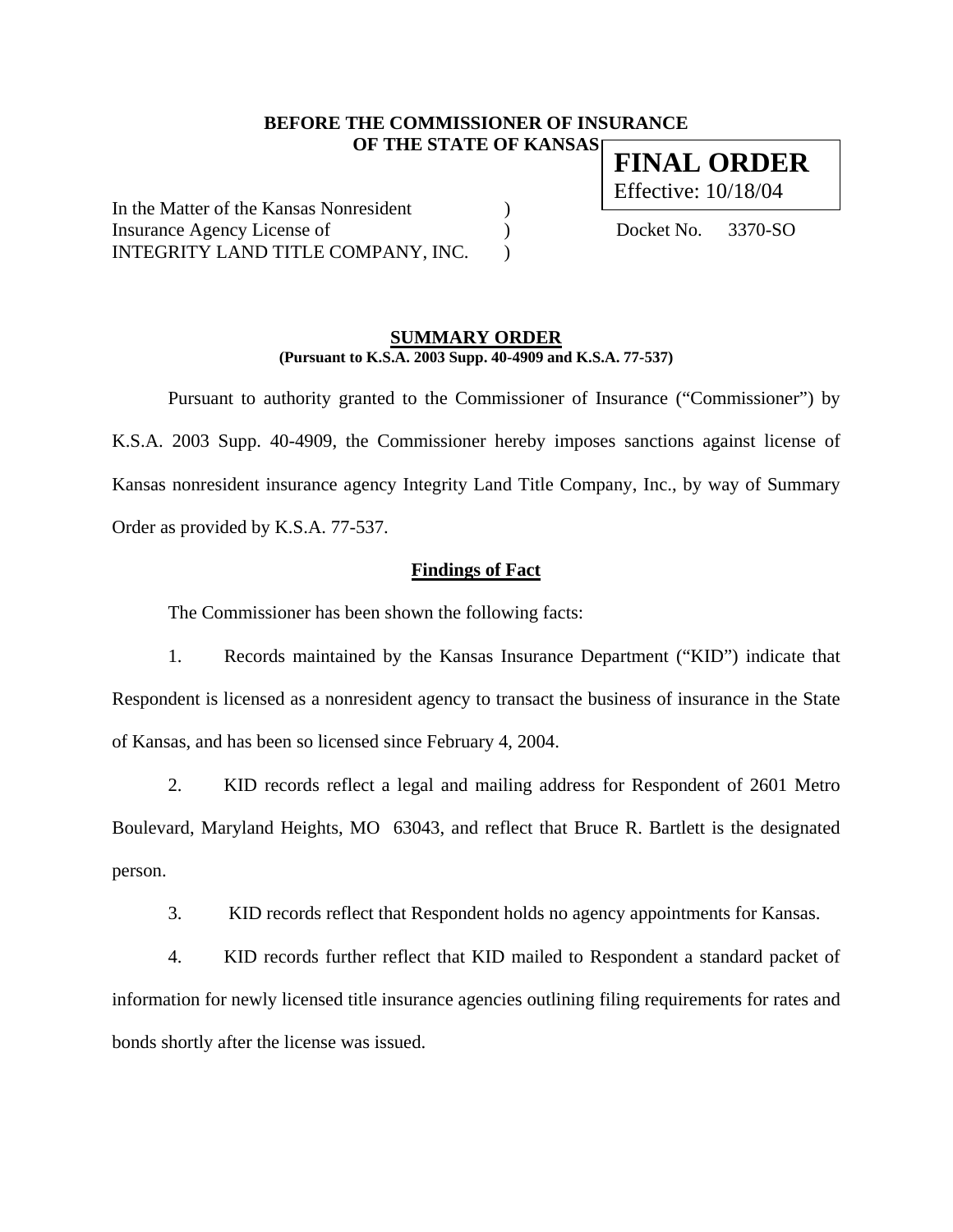### **BEFORE THE COMMISSIONER OF INSURANCE OF THE STATE OF KANSAS**

In the Matter of the Kansas Nonresident ) Insurance Agency License of  $Docket No. 3370-SO$ INTEGRITY LAND TITLE COMPANY, INC.

### **SUMMARY ORDER (Pursuant to K.S.A. 2003 Supp. 40-4909 and K.S.A. 77-537)**

 Pursuant to authority granted to the Commissioner of Insurance ("Commissioner") by K.S.A. 2003 Supp. 40-4909, the Commissioner hereby imposes sanctions against license of Kansas nonresident insurance agency Integrity Land Title Company, Inc., by way of Summary Order as provided by K.S.A. 77-537.

## **Findings of Fact**

The Commissioner has been shown the following facts:

1. Records maintained by the Kansas Insurance Department ("KID") indicate that Respondent is licensed as a nonresident agency to transact the business of insurance in the State of Kansas, and has been so licensed since February 4, 2004.

2. KID records reflect a legal and mailing address for Respondent of 2601 Metro Boulevard, Maryland Heights, MO 63043, and reflect that Bruce R. Bartlett is the designated person.

3. KID records reflect that Respondent holds no agency appointments for Kansas.

4. KID records further reflect that KID mailed to Respondent a standard packet of information for newly licensed title insurance agencies outlining filing requirements for rates and bonds shortly after the license was issued.

**FINAL ORDER**  Effective: 10/18/04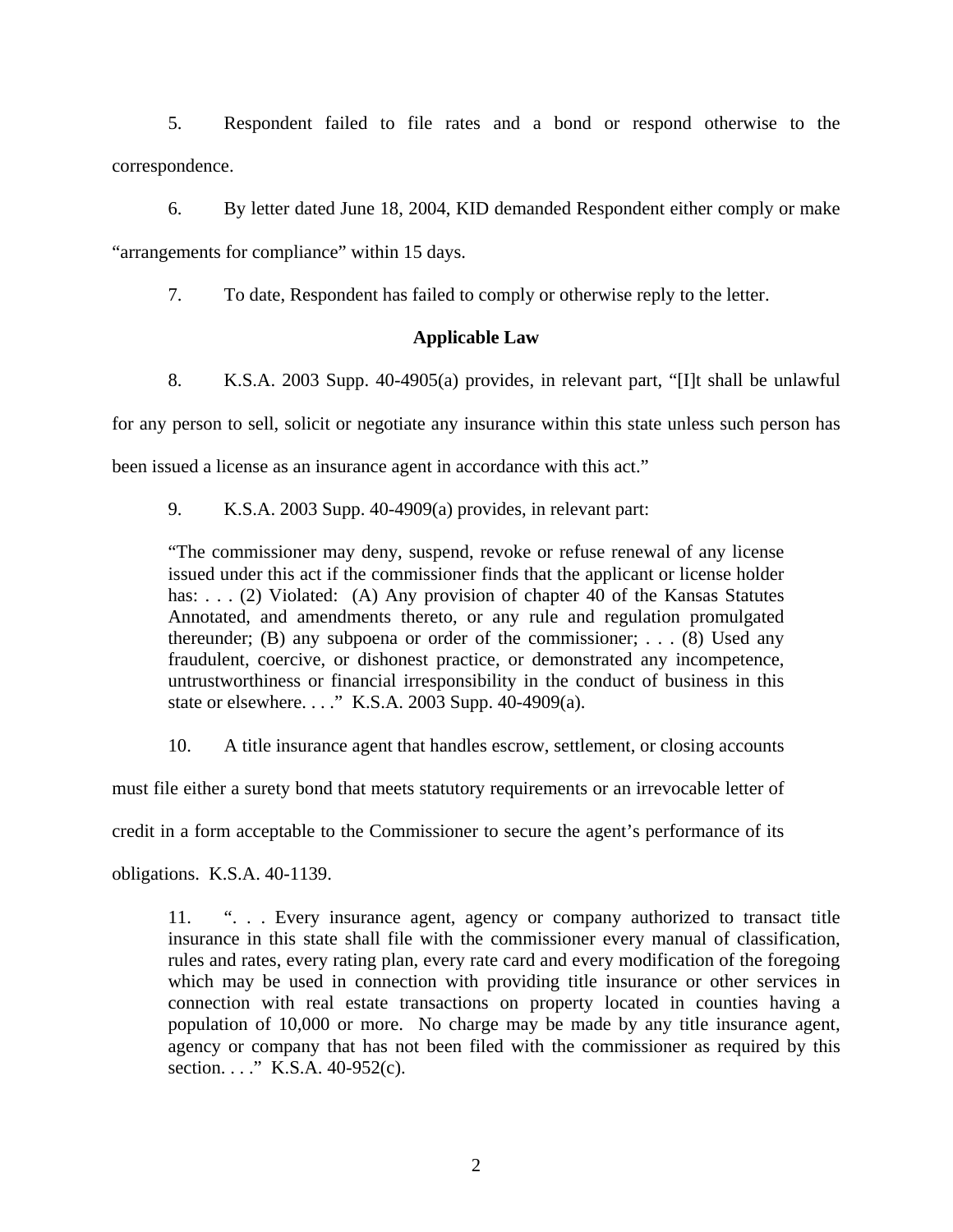5. Respondent failed to file rates and a bond or respond otherwise to the correspondence.

6. By letter dated June 18, 2004, KID demanded Respondent either comply or make "arrangements for compliance" within 15 days.

7. To date, Respondent has failed to comply or otherwise reply to the letter.

# **Applicable Law**

8. K.S.A. 2003 Supp. 40-4905(a) provides, in relevant part, "[I]t shall be unlawful for any person to sell, solicit or negotiate any insurance within this state unless such person has been issued a license as an insurance agent in accordance with this act."

9. K.S.A. 2003 Supp. 40-4909(a) provides, in relevant part:

"The commissioner may deny, suspend, revoke or refuse renewal of any license issued under this act if the commissioner finds that the applicant or license holder has: . . . (2) Violated: (A) Any provision of chapter 40 of the Kansas Statutes Annotated, and amendments thereto, or any rule and regulation promulgated thereunder; (B) any subpoena or order of the commissioner; . . . (8) Used any fraudulent, coercive, or dishonest practice, or demonstrated any incompetence, untrustworthiness or financial irresponsibility in the conduct of business in this state or elsewhere. . . ." K.S.A. 2003 Supp. 40-4909(a).

10. A title insurance agent that handles escrow, settlement, or closing accounts

must file either a surety bond that meets statutory requirements or an irrevocable letter of

credit in a form acceptable to the Commissioner to secure the agent's performance of its

obligations. K.S.A. 40-1139.

11. ". . . Every insurance agent, agency or company authorized to transact title insurance in this state shall file with the commissioner every manual of classification, rules and rates, every rating plan, every rate card and every modification of the foregoing which may be used in connection with providing title insurance or other services in connection with real estate transactions on property located in counties having a population of 10,000 or more. No charge may be made by any title insurance agent, agency or company that has not been filed with the commissioner as required by this section. . . . " K.S.A. 40-952(c).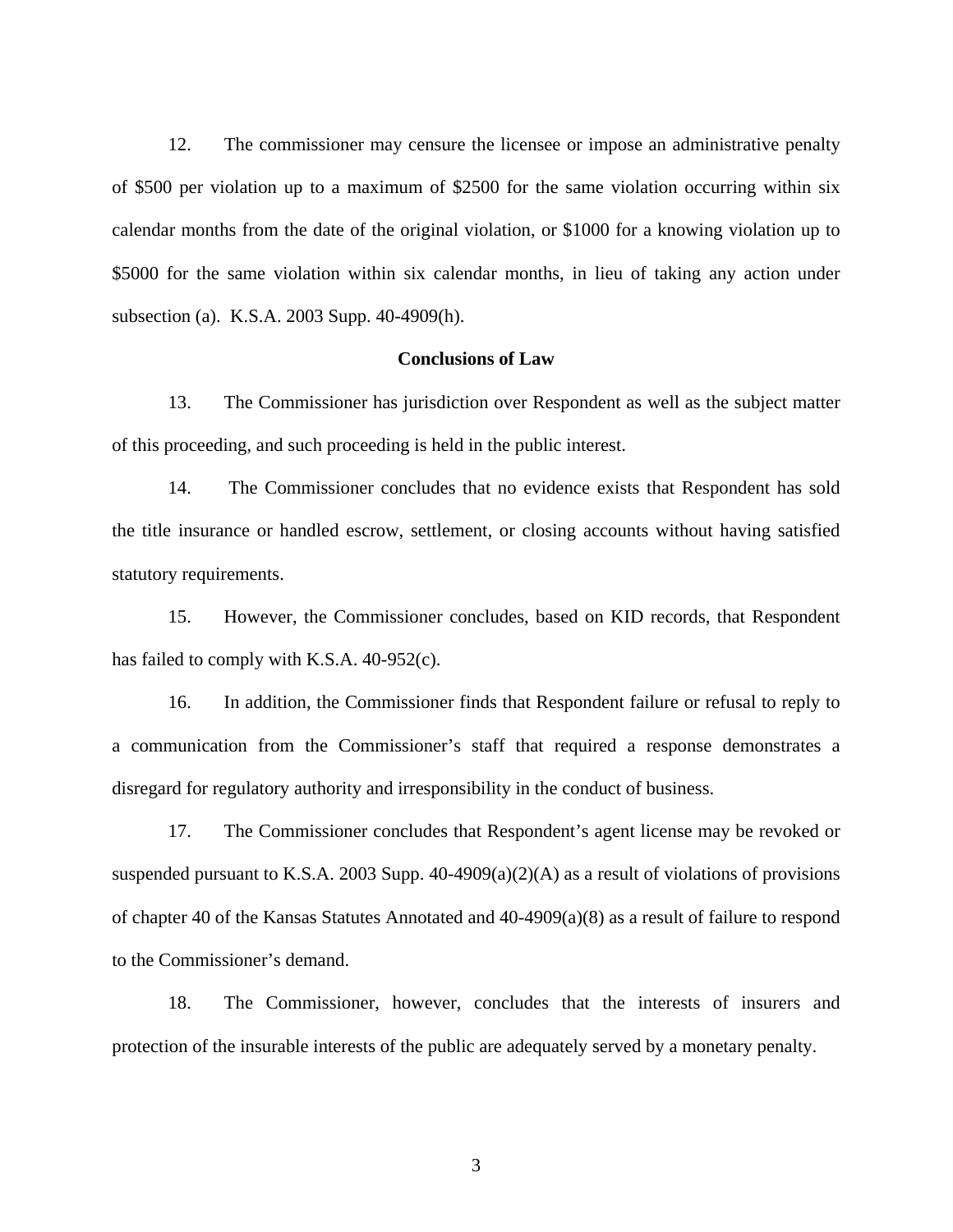12. The commissioner may censure the licensee or impose an administrative penalty of \$500 per violation up to a maximum of \$2500 for the same violation occurring within six calendar months from the date of the original violation, or \$1000 for a knowing violation up to \$5000 for the same violation within six calendar months, in lieu of taking any action under subsection (a). K.S.A. 2003 Supp. 40-4909(h).

## **Conclusions of Law**

13. The Commissioner has jurisdiction over Respondent as well as the subject matter of this proceeding, and such proceeding is held in the public interest.

14. The Commissioner concludes that no evidence exists that Respondent has sold the title insurance or handled escrow, settlement, or closing accounts without having satisfied statutory requirements.

15. However, the Commissioner concludes, based on KID records, that Respondent has failed to comply with K.S.A. 40-952(c).

16. In addition, the Commissioner finds that Respondent failure or refusal to reply to a communication from the Commissioner's staff that required a response demonstrates a disregard for regulatory authority and irresponsibility in the conduct of business.

17. The Commissioner concludes that Respondent's agent license may be revoked or suspended pursuant to K.S.A. 2003 Supp.  $40-4909(a)(2)(A)$  as a result of violations of provisions of chapter 40 of the Kansas Statutes Annotated and 40-4909(a)(8) as a result of failure to respond to the Commissioner's demand.

18. The Commissioner, however, concludes that the interests of insurers and protection of the insurable interests of the public are adequately served by a monetary penalty.

3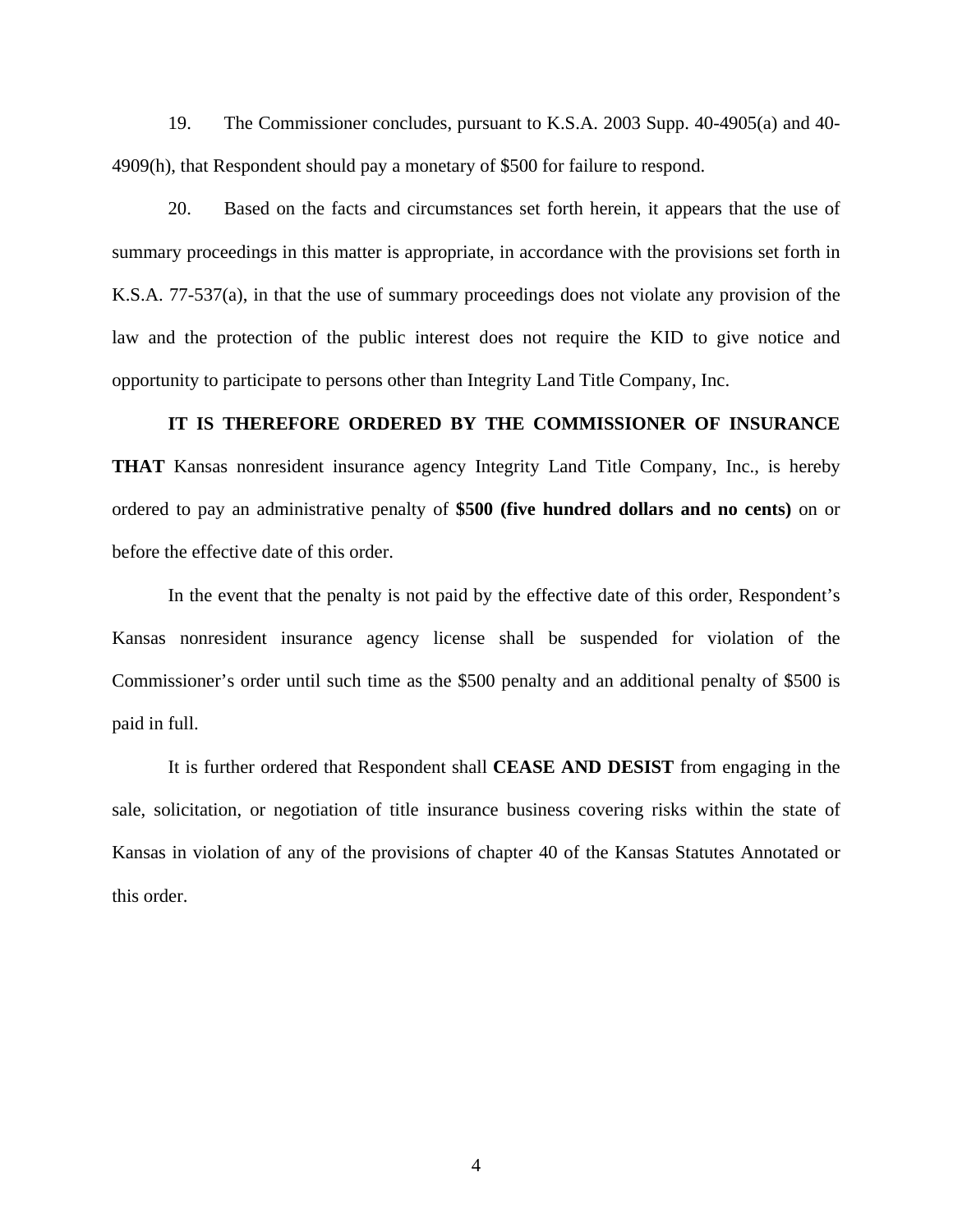19. The Commissioner concludes, pursuant to K.S.A. 2003 Supp. 40-4905(a) and 40- 4909(h), that Respondent should pay a monetary of \$500 for failure to respond.

20. Based on the facts and circumstances set forth herein, it appears that the use of summary proceedings in this matter is appropriate, in accordance with the provisions set forth in K.S.A. 77-537(a), in that the use of summary proceedings does not violate any provision of the law and the protection of the public interest does not require the KID to give notice and opportunity to participate to persons other than Integrity Land Title Company, Inc.

## **IT IS THEREFORE ORDERED BY THE COMMISSIONER OF INSURANCE**

**THAT** Kansas nonresident insurance agency Integrity Land Title Company, Inc., is hereby ordered to pay an administrative penalty of **\$500 (five hundred dollars and no cents)** on or before the effective date of this order.

In the event that the penalty is not paid by the effective date of this order, Respondent's Kansas nonresident insurance agency license shall be suspended for violation of the Commissioner's order until such time as the \$500 penalty and an additional penalty of \$500 is paid in full.

It is further ordered that Respondent shall **CEASE AND DESIST** from engaging in the sale, solicitation, or negotiation of title insurance business covering risks within the state of Kansas in violation of any of the provisions of chapter 40 of the Kansas Statutes Annotated or this order.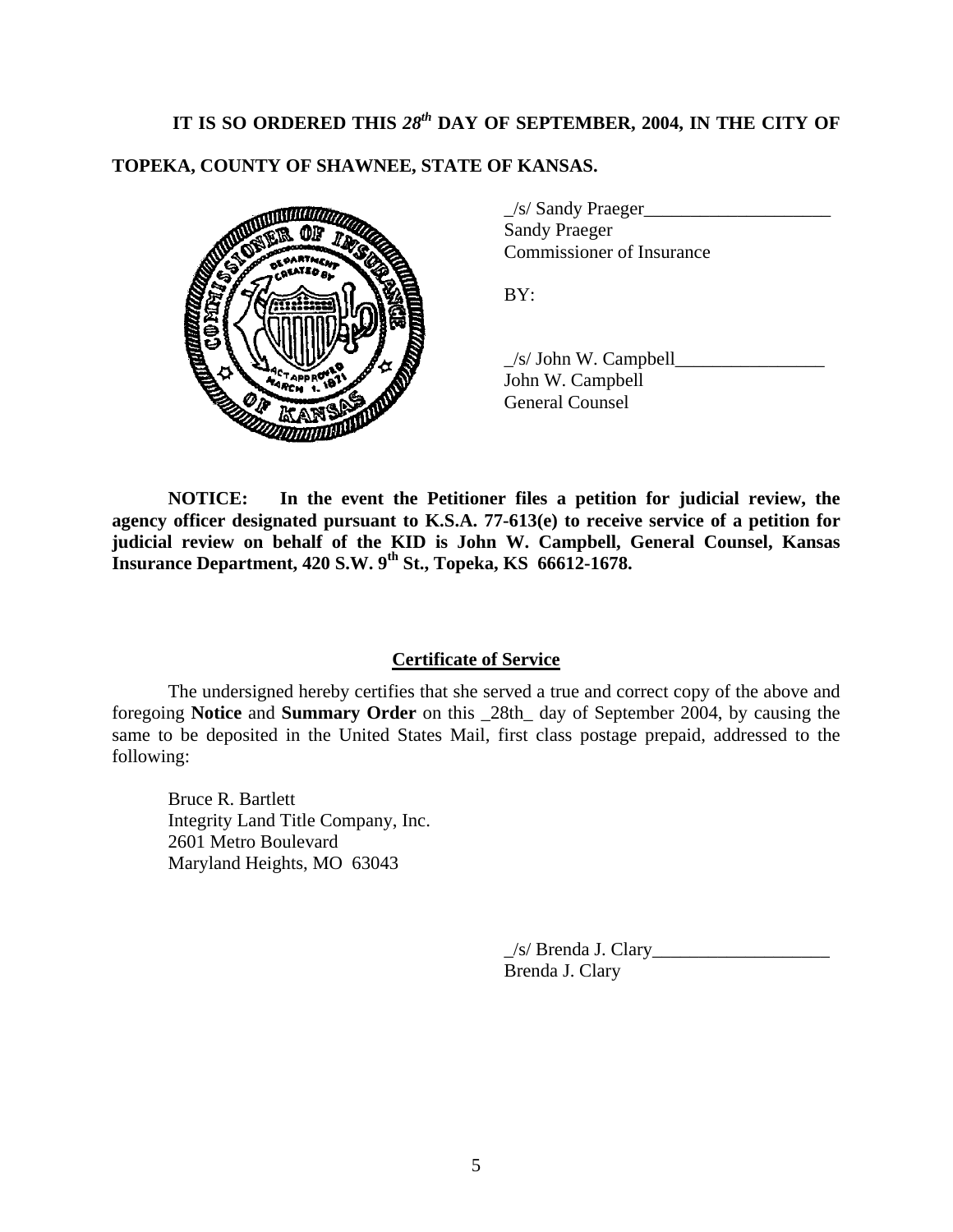# IT IS SO ORDERED THIS 28<sup>th</sup> DAY OF SEPTEMBER, 2004, IN THE CITY OF

# **TOPEKA, COUNTY OF SHAWNEE, STATE OF KANSAS.**



| $\angle$ s/ Sandy Praeger |  |
|---------------------------|--|
| <b>Sandy Praeger</b>      |  |
| Commissioner of Insurance |  |

 $\angle$ s/ John W. Campbell $\angle$ John W. Campbell General Counsel

**NOTICE: In the event the Petitioner files a petition for judicial review, the agency officer designated pursuant to K.S.A. 77-613(e) to receive service of a petition for judicial review on behalf of the KID is John W. Campbell, General Counsel, Kansas Insurance Department, 420 S.W. 9th St., Topeka, KS 66612-1678.** 

### **Certificate of Service**

 The undersigned hereby certifies that she served a true and correct copy of the above and foregoing **Notice** and **Summary Order** on this \_28th\_ day of September 2004, by causing the same to be deposited in the United States Mail, first class postage prepaid, addressed to the following:

Bruce R. Bartlett Integrity Land Title Company, Inc. 2601 Metro Boulevard Maryland Heights, MO 63043

> $\angle$ s/ Brenda J. Clary $\angle$ Brenda J. Clary